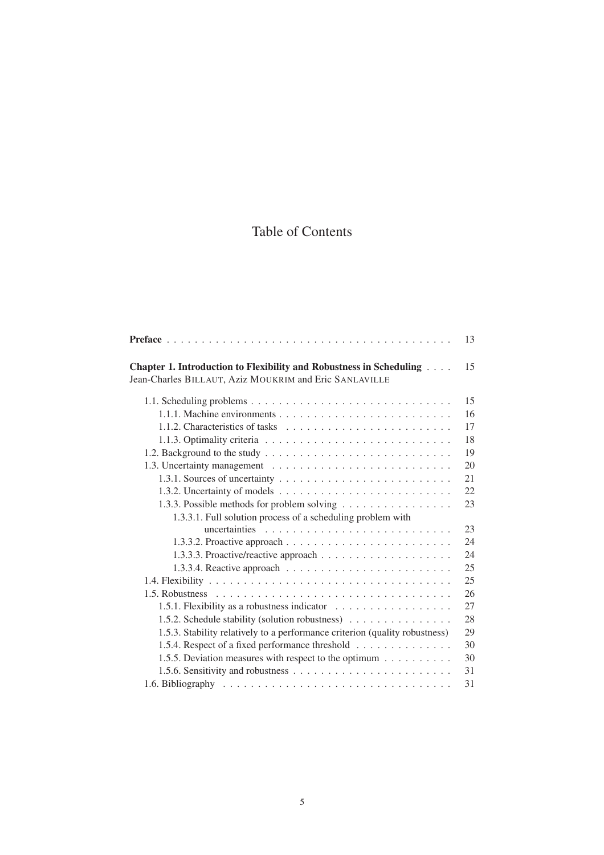# Table of Contents

|                                                                                                                               | 13 |
|-------------------------------------------------------------------------------------------------------------------------------|----|
| Chapter 1. Introduction to Flexibility and Robustness in Scheduling<br>Jean-Charles BILLAUT, Aziz MOUKRIM and Eric SANLAVILLE | 15 |
|                                                                                                                               |    |
|                                                                                                                               | 15 |
|                                                                                                                               | 16 |
|                                                                                                                               | 17 |
|                                                                                                                               | 18 |
|                                                                                                                               | 19 |
|                                                                                                                               | 20 |
|                                                                                                                               | 21 |
|                                                                                                                               | 22 |
| 1.3.3. Possible methods for problem solving                                                                                   | 23 |
| 1.3.3.1. Full solution process of a scheduling problem with                                                                   |    |
|                                                                                                                               | 23 |
|                                                                                                                               | 24 |
|                                                                                                                               | 24 |
|                                                                                                                               | 25 |
|                                                                                                                               | 25 |
|                                                                                                                               | 26 |
| 1.5.1. Flexibility as a robustness indicator                                                                                  | 27 |
| 1.5.2. Schedule stability (solution robustness)                                                                               | 28 |
| 1.5.3. Stability relatively to a performance criterion (quality robustness)                                                   | 29 |
| 1.5.4. Respect of a fixed performance threshold                                                                               | 30 |
| 1.5.5. Deviation measures with respect to the optimum                                                                         | 30 |
|                                                                                                                               | 31 |
|                                                                                                                               |    |
|                                                                                                                               | 31 |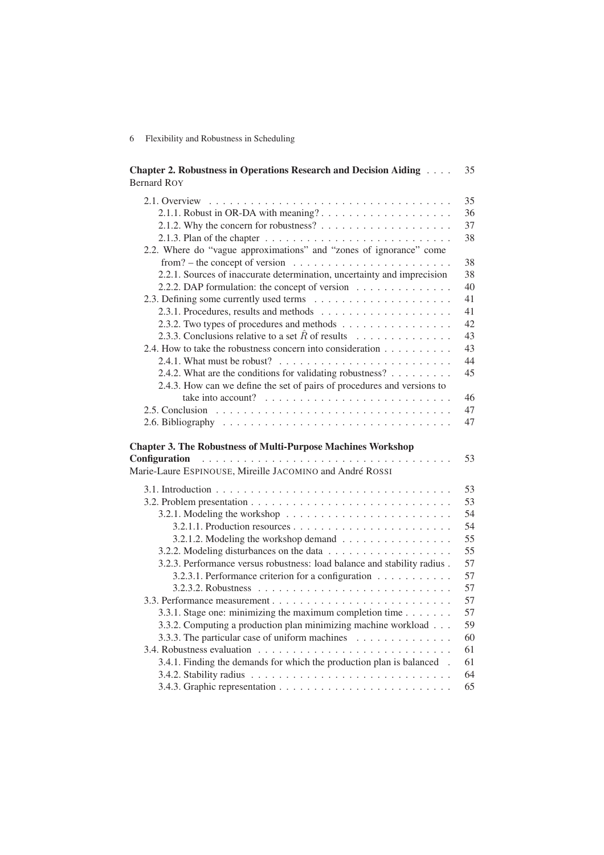#### 6 Flexibility and Robustness in Scheduling

| <b>Chapter 2. Robustness in Operations Research and Decision Aiding </b><br><b>Bernard ROY</b>                                                         | 35 |
|--------------------------------------------------------------------------------------------------------------------------------------------------------|----|
|                                                                                                                                                        | 35 |
|                                                                                                                                                        | 36 |
|                                                                                                                                                        | 37 |
| 2.1.3. Plan of the chapter $\dots \dots \dots \dots \dots \dots \dots \dots \dots \dots \dots$                                                         | 38 |
| 2.2. Where do "vague approximations" and "zones of ignorance" come<br>from? – the concept of version $\dots \dots \dots \dots \dots \dots \dots \dots$ | 38 |
| 2.2.1. Sources of inaccurate determination, uncertainty and imprecision                                                                                | 38 |
| 2.2.2. DAP formulation: the concept of version                                                                                                         | 40 |
|                                                                                                                                                        | 41 |
|                                                                                                                                                        | 41 |
| 2.3.2. Two types of procedures and methods                                                                                                             | 42 |
| 2.3.3. Conclusions relative to a set $\hat{R}$ of results                                                                                              | 43 |
| 2.4. How to take the robustness concern into consideration                                                                                             | 43 |
| 2.4.1. What must be robust? $\ldots \ldots \ldots \ldots \ldots \ldots \ldots \ldots$                                                                  | 44 |
| 2.4.2. What are the conditions for validating robustness? $\dots \dots$                                                                                | 45 |
| 2.4.3. How can we define the set of pairs of procedures and versions to                                                                                |    |
| take into account? $\ldots \ldots \ldots \ldots \ldots \ldots \ldots \ldots \ldots$                                                                    | 46 |
|                                                                                                                                                        | 47 |
|                                                                                                                                                        | 47 |
| <b>Chapter 3. The Robustness of Multi-Purpose Machines Workshop</b><br>Configuration<br>Marie-Laure ESPINOUSE, Mireille JACOMINO and André ROSSI       | 53 |
|                                                                                                                                                        | 53 |
|                                                                                                                                                        | 53 |
| 3.2.1. Modeling the workshop $\ldots \ldots \ldots \ldots \ldots \ldots \ldots$                                                                        | 54 |
|                                                                                                                                                        | 54 |
| 3.2.1.2. Modeling the workshop demand                                                                                                                  | 55 |
|                                                                                                                                                        | 55 |
| 3.2.3. Performance versus robustness: load balance and stability radius.                                                                               | 57 |
| 3.2.3.1. Performance criterion for a configuration                                                                                                     | 57 |
|                                                                                                                                                        | 57 |
|                                                                                                                                                        | 57 |
| 3.3.1. Stage one: minimizing the maximum completion time $\ldots \ldots$                                                                               | 57 |
| 3.3.2. Computing a production plan minimizing machine workload                                                                                         | 59 |
| 3.3.3. The particular case of uniform machines                                                                                                         | 60 |
|                                                                                                                                                        | 61 |
| 3.4.1. Finding the demands for which the production plan is balanced.                                                                                  | 61 |
|                                                                                                                                                        | 64 |
|                                                                                                                                                        | 65 |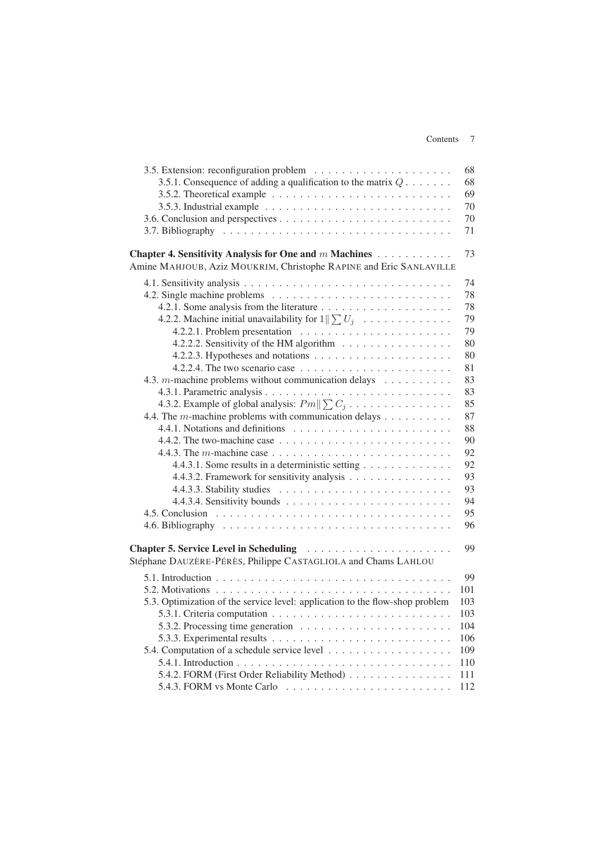|                                                                                                                                                   | 68  |
|---------------------------------------------------------------------------------------------------------------------------------------------------|-----|
| 3.5.1. Consequence of adding a qualification to the matrix $Q \dots \dots$                                                                        | 68  |
| 3.5.2. Theoretical example $\ldots \ldots \ldots \ldots \ldots \ldots \ldots \ldots \ldots$                                                       | 69  |
| 3.5.3. Industrial example $\ldots \ldots \ldots \ldots \ldots \ldots \ldots \ldots$                                                               | 70  |
|                                                                                                                                                   | 70  |
|                                                                                                                                                   | 71  |
|                                                                                                                                                   |     |
| Chapter 4. Sensitivity Analysis for One and m Machines                                                                                            | 73  |
| Amine MAHJOUB, Aziz MOUKRIM, Christophe RAPINE and Eric SANLAVILLE                                                                                |     |
|                                                                                                                                                   | 74  |
|                                                                                                                                                   | 78  |
|                                                                                                                                                   | 78  |
| 4.2.2. Machine initial unavailability for $1 \le U_j$                                                                                             | 79  |
|                                                                                                                                                   | 79  |
| 4.2.2.2. Sensitivity of the HM algorithm                                                                                                          | 80  |
|                                                                                                                                                   | 80  |
| 4.2.2.4. The two scenario case $\ldots \ldots \ldots \ldots \ldots \ldots \ldots$                                                                 | 81  |
| 4.3. <i>m</i> -machine problems without communication delays $\dots \dots \dots$                                                                  | 83  |
|                                                                                                                                                   | 83  |
|                                                                                                                                                   | 85  |
| 4.3.2. Example of global analysis: $Pm \ \sum C_j \dots \dots \dots \dots \dots$<br>4.4. The <i>m</i> -machine problems with communication delays | 87  |
|                                                                                                                                                   | 88  |
|                                                                                                                                                   | 90  |
|                                                                                                                                                   | 92  |
|                                                                                                                                                   | 92  |
| 4.4.3.1. Some results in a deterministic setting                                                                                                  |     |
| 4.4.3.2. Framework for sensitivity analysis                                                                                                       | 93  |
|                                                                                                                                                   | 93  |
|                                                                                                                                                   | 94  |
|                                                                                                                                                   | 95  |
|                                                                                                                                                   | 96  |
| Chapter 5. Service Level in Scheduling                                                                                                            | 99  |
| Stéphane DAUZÈRE-PÉRÈS, Philippe CASTAGLIOLA and Chams LAHLOU                                                                                     |     |
|                                                                                                                                                   |     |
|                                                                                                                                                   | 99  |
|                                                                                                                                                   | 101 |
| 5.3. Optimization of the service level: application to the flow-shop problem                                                                      | 103 |
|                                                                                                                                                   | 103 |
|                                                                                                                                                   | 104 |
|                                                                                                                                                   | 106 |
|                                                                                                                                                   | 109 |
|                                                                                                                                                   | 110 |
| 5.4.2. FORM (First Order Reliability Method)                                                                                                      | 111 |
| 5.4.3. FORM vs Monte Carlo $\dots \dots \dots \dots \dots \dots \dots \dots \dots$                                                                | 112 |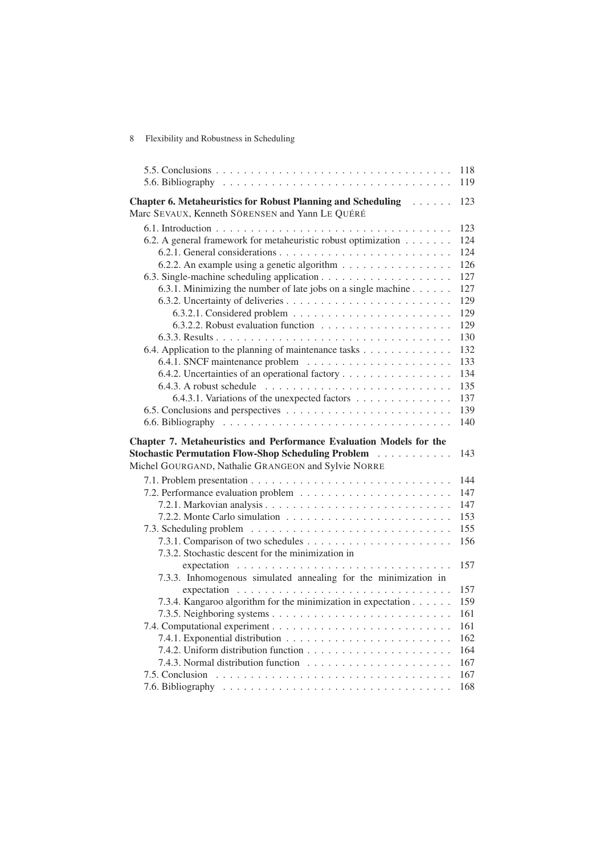|                                                                                                                          | 118<br>119 |
|--------------------------------------------------------------------------------------------------------------------------|------------|
| Chapter 6. Metaheuristics for Robust Planning and Scheduling                                                             | 123        |
| Marc SEVAUX, Kenneth SÖRENSEN and Yann LE QUÉRÉ                                                                          |            |
|                                                                                                                          | 123        |
| 6.2. A general framework for metaheuristic robust optimization                                                           | 124        |
|                                                                                                                          | 124        |
| 6.2.2. An example using a genetic algorithm                                                                              | 126        |
|                                                                                                                          | 127        |
| 6.3.1. Minimizing the number of late jobs on a single machine $\dots \dots$                                              | 127        |
|                                                                                                                          | 129        |
|                                                                                                                          | 129        |
|                                                                                                                          | 129        |
|                                                                                                                          | 130        |
| 6.4. Application to the planning of maintenance tasks                                                                    | 132        |
|                                                                                                                          | 133        |
| 6.4.2. Uncertainties of an operational factory                                                                           | 134        |
| 6.4.3. A robust schedule $\ldots \ldots \ldots \ldots \ldots \ldots \ldots \ldots \ldots$                                | 135        |
| 6.4.3.1. Variations of the unexpected factors                                                                            | 137        |
|                                                                                                                          | 139        |
|                                                                                                                          | 140        |
|                                                                                                                          |            |
|                                                                                                                          |            |
| Chapter 7. Metaheuristics and Performance Evaluation Models for the                                                      | 143        |
| <b>Stochastic Permutation Flow-Shop Scheduling Problem Action</b><br>Michel GOURGAND, Nathalie GRANGEON and Sylvie NORRE |            |
|                                                                                                                          | 144        |
|                                                                                                                          | 147        |
|                                                                                                                          | 147        |
|                                                                                                                          | 153        |
|                                                                                                                          | 155        |
|                                                                                                                          | 156        |
| 7.3.2. Stochastic descent for the minimization in                                                                        |            |
|                                                                                                                          | 157        |
| 7.3.3. Inhomogenous simulated annealing for the minimization in                                                          |            |
|                                                                                                                          | 157        |
| 7.3.4. Kangaroo algorithm for the minimization in expectation                                                            | 159        |
|                                                                                                                          | 161        |
|                                                                                                                          | 161        |
|                                                                                                                          | 162        |
|                                                                                                                          | 164        |
|                                                                                                                          | 167        |
|                                                                                                                          | 167<br>168 |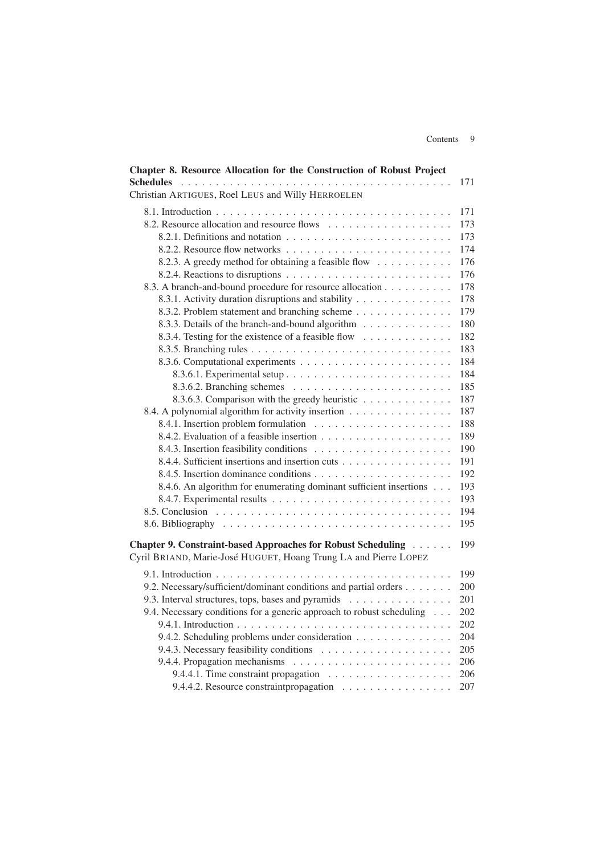| Chapter 8. Resource Allocation for the Construction of Robust Project |     |
|-----------------------------------------------------------------------|-----|
| <b>Schedules</b><br>Christian ARTIGUES, Roel LEUS and Willy HERROELEN | 171 |
|                                                                       |     |
|                                                                       | 171 |
| 8.2. Resource allocation and resource flows                           | 173 |
|                                                                       | 173 |
|                                                                       | 174 |
| 8.2.3. A greedy method for obtaining a feasible flow                  | 176 |
|                                                                       | 176 |
| 8.3. A branch-and-bound procedure for resource allocation             | 178 |
| 8.3.1. Activity duration disruptions and stability                    | 178 |
| 8.3.2. Problem statement and branching scheme                         | 179 |
| 8.3.3. Details of the branch-and-bound algorithm                      | 180 |
| 8.3.4. Testing for the existence of a feasible flow                   | 182 |
|                                                                       | 183 |
|                                                                       | 184 |
|                                                                       | 184 |
|                                                                       | 185 |
| 8.3.6.3. Comparison with the greedy heuristic                         | 187 |
| 8.4. A polynomial algorithm for activity insertion                    | 187 |
|                                                                       | 188 |
|                                                                       | 189 |
|                                                                       | 190 |
| 8.4.4. Sufficient insertions and insertion cuts                       | 191 |
|                                                                       | 192 |
| 8.4.6. An algorithm for enumerating dominant sufficient insertions    | 193 |
|                                                                       | 193 |
|                                                                       | 194 |
|                                                                       | 195 |
| Chapter 9. Constraint-based Approaches for Robust Scheduling          | 199 |
| Cyril BRIAND, Marie-José HUGUET, Hoang Trung LA and Pierre LOPEZ      |     |
|                                                                       | 199 |
| 9.2. Necessary/sufficient/dominant conditions and partial orders      | 200 |
| 9.3. Interval structures, tops, bases and pyramids                    | 201 |
| 9.4. Necessary conditions for a generic approach to robust scheduling | 202 |
|                                                                       | 202 |
| 9.4.2. Scheduling problems under consideration                        | 204 |
|                                                                       | 205 |
|                                                                       | 206 |
|                                                                       | 206 |
| 9.4.4.2. Resource constraint propagation                              | 207 |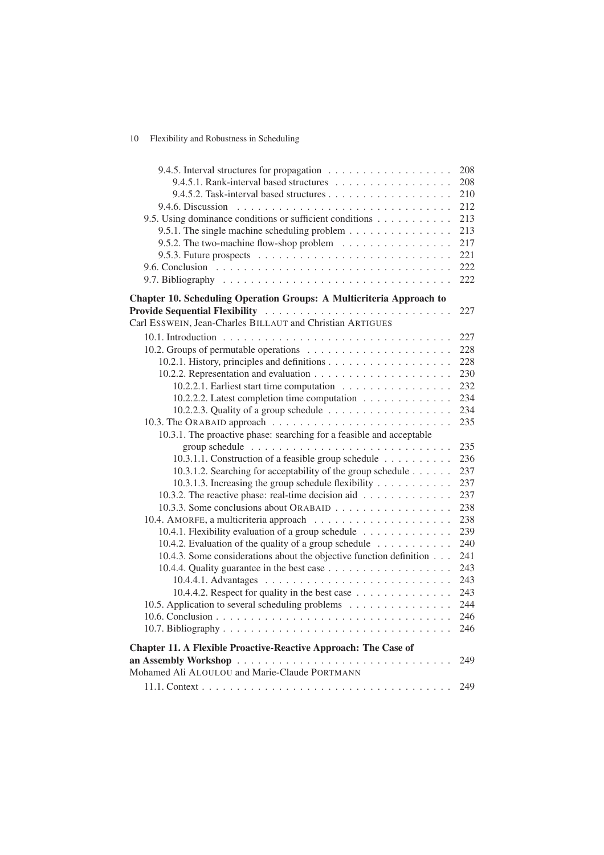### 10 Flexibility and Robustness in Scheduling

|                                                                                                                                                                                                                                      | 208 |
|--------------------------------------------------------------------------------------------------------------------------------------------------------------------------------------------------------------------------------------|-----|
|                                                                                                                                                                                                                                      | 208 |
|                                                                                                                                                                                                                                      | 210 |
|                                                                                                                                                                                                                                      | 212 |
| 9.5. Using dominance conditions or sufficient conditions                                                                                                                                                                             | 213 |
| 9.5.1. The single machine scheduling problem $\dots \dots \dots \dots \dots$                                                                                                                                                         | 213 |
| 9.5.2. The two-machine flow-shop problem                                                                                                                                                                                             | 217 |
| 9.5.3. Future prospects $\ldots \ldots \ldots \ldots \ldots \ldots \ldots \ldots \ldots$                                                                                                                                             | 221 |
|                                                                                                                                                                                                                                      | 222 |
|                                                                                                                                                                                                                                      | 222 |
| Chapter 10. Scheduling Operation Groups: A Multicriteria Approach to                                                                                                                                                                 |     |
| <b>Provide Sequential Flexibility Action Contract Contract Contract Contract Contract Contract Contract Contract Contract Contract Contract Contract Contract Contract Contract Contract Contract Contract Contract Contract Con</b> | 227 |
| Carl ESSWEIN, Jean-Charles BILLAUT and Christian ARTIGUES                                                                                                                                                                            |     |
|                                                                                                                                                                                                                                      | 227 |
|                                                                                                                                                                                                                                      | 228 |
|                                                                                                                                                                                                                                      | 228 |
|                                                                                                                                                                                                                                      | 230 |
| 10.2.2.1. Earliest start time computation                                                                                                                                                                                            | 232 |
| 10.2.2.2. Latest completion time computation                                                                                                                                                                                         | 234 |
|                                                                                                                                                                                                                                      | 234 |
|                                                                                                                                                                                                                                      | 235 |
| 10.3.1. The proactive phase: searching for a feasible and acceptable                                                                                                                                                                 |     |
|                                                                                                                                                                                                                                      | 235 |
| 10.3.1.1. Construction of a feasible group schedule                                                                                                                                                                                  | 236 |
| 10.3.1.2. Searching for acceptability of the group schedule                                                                                                                                                                          | 237 |
| 10.3.1.3. Increasing the group schedule flexibility                                                                                                                                                                                  | 237 |
| 10.3.2. The reactive phase: real-time decision aid                                                                                                                                                                                   | 237 |
| 10.3.3. Some conclusions about ORABAID                                                                                                                                                                                               | 238 |
|                                                                                                                                                                                                                                      | 238 |
| 10.4.1. Flexibility evaluation of a group schedule                                                                                                                                                                                   | 239 |
| 10.4.2. Evaluation of the quality of a group schedule                                                                                                                                                                                | 240 |
| 10.4.3. Some considerations about the objective function definition                                                                                                                                                                  | 241 |
|                                                                                                                                                                                                                                      | 243 |
|                                                                                                                                                                                                                                      | 243 |
| 10.4.4.2. Respect for quality in the best case                                                                                                                                                                                       | 243 |
| 10.5. Application to several scheduling problems                                                                                                                                                                                     | 244 |
|                                                                                                                                                                                                                                      | 246 |
|                                                                                                                                                                                                                                      | 246 |
| <b>Chapter 11. A Flexible Proactive-Reactive Approach: The Case of</b>                                                                                                                                                               |     |
|                                                                                                                                                                                                                                      | 249 |
| Mohamed Ali ALOULOU and Marie-Claude PORTMANN                                                                                                                                                                                        |     |
|                                                                                                                                                                                                                                      | 249 |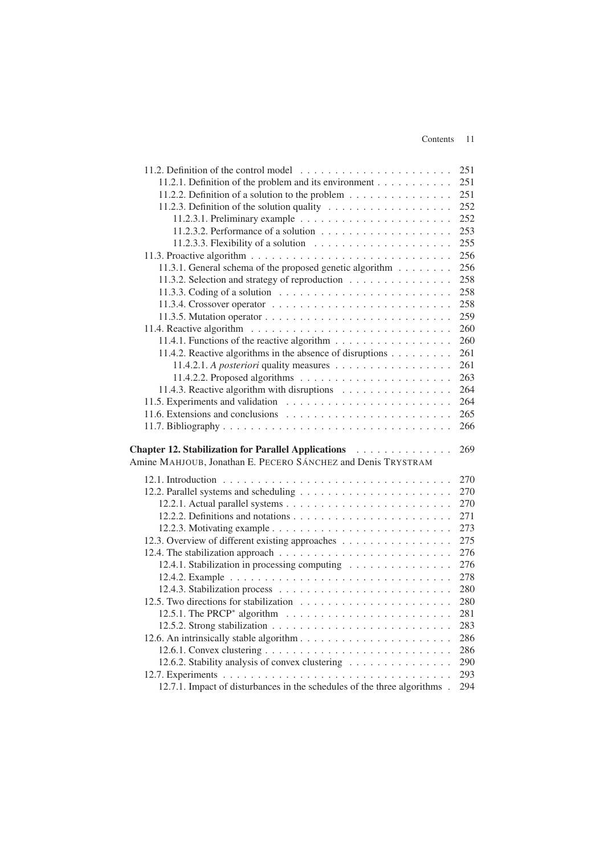#### Contents 11

|                                                                                        | 251        |
|----------------------------------------------------------------------------------------|------------|
| 11.2.1. Definition of the problem and its environment                                  | 251        |
| 11.2.2. Definition of a solution to the problem                                        | 251        |
|                                                                                        | 252        |
|                                                                                        | 252        |
| 11.2.3.2. Performance of a solution $\ldots \ldots \ldots \ldots \ldots \ldots$        | 253        |
| 11.2.3.3. Flexibility of a solution $\ldots \ldots \ldots \ldots \ldots \ldots$        | 255        |
|                                                                                        | 256        |
| 11.3.1. General schema of the proposed genetic algorithm                               | 256        |
| 11.3.2. Selection and strategy of reproduction                                         | 258        |
| 11.3.3. Coding of a solution $\ldots \ldots \ldots \ldots \ldots \ldots \ldots \ldots$ | 258        |
|                                                                                        | 258        |
|                                                                                        | 259        |
|                                                                                        | 260        |
|                                                                                        | 260        |
| 11.4.2. Reactive algorithms in the absence of disruptions                              | 261        |
| 11.4.2.1. A posteriori quality measures                                                | 261        |
|                                                                                        | 263        |
| 11.4.3. Reactive algorithm with disruptions                                            | 264        |
|                                                                                        | 264        |
|                                                                                        | 265        |
|                                                                                        | 266        |
|                                                                                        |            |
| Chapter 12. Stabilization for Parallel Applications                                    |            |
|                                                                                        | 269        |
| Amine MAHJOUB, Jonathan E. PECERO SÁNCHEZ and Denis TRYSTRAM                           |            |
|                                                                                        |            |
|                                                                                        | 270<br>270 |
|                                                                                        | 270        |
|                                                                                        | 271        |
|                                                                                        | 273        |
|                                                                                        | 275        |
| 12.3. Overview of different existing approaches                                        | 276        |
|                                                                                        | 276        |
| 12.4.1. Stabilization in processing computing                                          | 278        |
|                                                                                        | 280        |
|                                                                                        | 280        |
|                                                                                        | 281        |
|                                                                                        | 283        |
|                                                                                        | 286        |
|                                                                                        | 286        |
|                                                                                        | 290        |
| 12.6.2. Stability analysis of convex clustering                                        | 293        |